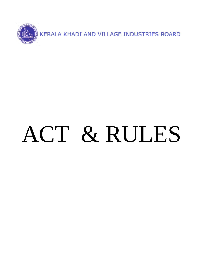

# ACT & RULES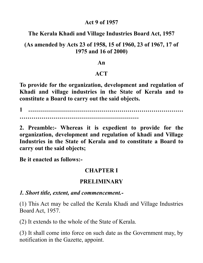#### **Act 9 of 1957**

#### **The Kerala Khadi and Village Industries Board Act, 1957**

#### **(As amended by Acts 23 of 1958, 15 of 1960, 23 of 1967, 17 of 1975 and 16 of 2000)**

#### **An**

#### **ACT**

**To provide for the organization, development and regulation of Khadi and village industries in the State of Kerala and to constitute a Board to carry out the said objects.**

**1 …………………………………………………………………… ……………………………………………………**

**2. Preamble:- Whereas it is expedient to provide for the organization, development and regulation of khadi and Village Industries in the State of Kerala and to constitute a Board to carry out the said objects;**

**Be it enacted as follows:-**

#### **CHAPTER I**

#### **PRELIMINARY**

#### *1. Short title, extent, and commencement.-*

(1) This Act may be called the Kerala Khadi and Village Industries Board Act, 1957.

(2) It extends to the whole of the State of Kerala.

(3) It shall come into force on such date as the Government may, by notification in the Gazette, appoint.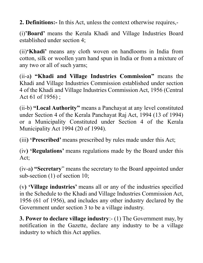**2. Definitions:-** In this Act, unless the context otherwise requires,-

(i)**'Board'** means the Kerala Khadi and Village Industries Board established under section 4;

(ii)**'Khadi'** means any cloth woven on handlooms in India from cotton, silk or woollen yarn hand spun in India or from a mixture of any two or all of such yarns;

(ii-a**) "Khadi and Village Industries Commission"** means the Khadi and Village Industries Commission established under section 4 of the Khadi and Village Industries Commission Act, 1956 (Central Act 61 of 1956) ;

(ii-b) **"Local Authority"** means a Panchayat at any level constituted under Section 4 of the Kerala Panchayat Raj Act, 1994 (13 of 1994) or a Municipality Constituted under Section 4 of the Kerala Municipality Act 1994 (20 of 1994).

(iii**) 'Prescribed'** means prescribed by rules made under this Act;

(iv**) 'Regulations'** means regulations made by the Board under this Act;

(iv-a**) "Secretary**" means the secretary to the Board appointed under sub-section (1) of section 10;

(v**) 'Village industries'** means all or any of the industries specified in the Schedule to the Khadi and Village Industries Commission Act, 1956 (61 of 1956), and includes any other industry declared by the Government under section 3 to be a village industry.

**3. Power to declare village industry**:- (1) The Government may, by notification in the Gazette, declare any industry to be a village industry to which this Act applies.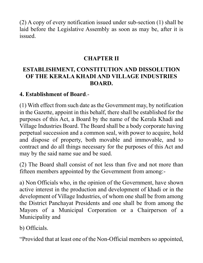(2) A copy of every notification issued under sub-section (1) shall be laid before the Legislative Assembly as soon as may be, after it is issued.

#### **CHAPTER II**

#### **ESTABLISHMENT, CONSTITUTION AND DISSOLUTION OF THE KERALA KHADI AND VILLAGE INDUSTRIES BOARD.**

#### **4. Establishment of Board**.-

(1) With effect from such date as the Government may, by notification in the Gazette, appoint in this behalf, there shall be established for the purposes of this Act, a Board by the name of the Kerala Khadi and Village Industries Board. The Board shall be a body corporate having perpetual succession and a common seal, with power to acquire, hold and dispose of property, both movable and immovable, and to contract and do all things necessary for the purposes of this Act and may by the said name sue and be sued.

(2) The Board shall consist of not less than five and not more than fifteen members appointed by the Government from among:-

a) Non Officials who, in the opinion of the Government, have shown active interest in the production and development of khadi or in the development of Village Industries, of whom one shall be from among the District Panchayat Presidents and one shall be from among the Mayors of a Municipal Corporation or a Chairperson of a Municipality and

b) Officials.

"Provided that at least one of the Non-Official members so appointed,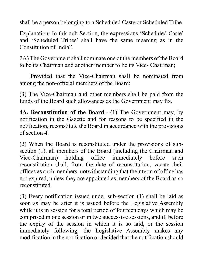shall be a person belonging to a Scheduled Caste or Scheduled Tribe.

Explanation: In this sub-Section, the expressions 'Scheduled Caste' and 'Scheduled Tribes' shall have the same meaning as in the Constitution of India".

2A) The Government shall nominate one of the members of the Board to be its Chairman and another member to be its Vice- Chairman;

Provided that the Vice-Chairman shall be nominated from among the non-official members of the Board;

(3) The Vice-Chairman and other members shall be paid from the funds of the Board such allowances as the Government may fix.

**4A. Reconstitution of the Board**:- (1) The Government may, by notification in the Gazette and for reasons to be specified in the notification, reconstitute the Board in accordance with the provisions of section 4.

(2) When the Board is reconstituted under the provisions of subsection (1), all members of the Board (including the Chairman and Vice-Chairman) holding office immediately before such reconstitution shall, from the date of reconstitution, vacate their offices as such members, notwithstanding that their term of office has not expired, unless they are appointed as members of the Board as so reconstituted.

(3) Every notification issued under sub-section (1) shall be laid as soon as may be after it is issued before the Legislative Assembly while it is in session for a total period of fourteen days which may be comprised in one session or in two successive sessions, and if, before the expiry of the session in which it is so laid, or the session immediately following, the Legislative Assembly makes any modification in the notification or decided that the notification should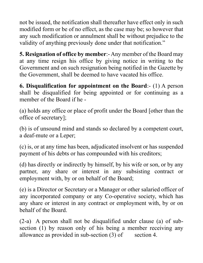not be issued, the notification shall thereafter have effect only in such modified form or be of no effect, as the case may be; so however that any such modification or annulment shall be without prejudice to the validity of anything previously done under that notification."

**5. Resignation of office by member**:- Any member of the Board may at any time resign his office by giving notice in writing to the Government and on such resignation being notified in the Gazette by the Government, shall be deemed to have vacated his office.

**6. Disqualification for appointment on the Board**:- (1) A person shall be disqualified for being appointed or for continuing as a member of the Board if he -

(a) holds any office or place of profit under the Board [other than the office of secretary];

(b) is of unsound mind and stands so declared by a competent court, a deaf-mute or a Leper;

(c) is, or at any time has been, adjudicated insolvent or has suspended payment of his debts or has compounded with his creditors;

(d) has directly or indirectly by himself, by his wife or son, or by any partner, any share or interest in any subsisting contract or employment with, by or on behalf of the Board;

(e) is a Director or Secretary or a Manager or other salaried officer of any incorporated company or any Co-operative society, which has any share or interest in any contract or employment with, by or on behalf of the Board.

(2-a) A person shall not be disqualified under clause (a) of subsection (1) by reason only of his being a member receiving any allowance as provided in sub-section  $(3)$  of section 4.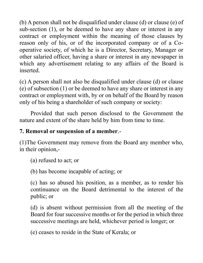(b) A person shall not be disqualified under clause (d) or clause (e) of sub-section (1), or be deemed to have any share or interest in any contract or employment within the meaning of those clauses by reason only of his, or of the incorporated company or of a Cooperative society, of which he is a Director, Secretary, Manager or other salaried officer, having a share or interest in any newspaper in which any advertisement relating to any affairs of the Board is inserted.

(c) A person shall not also be disqualified under clause (d) or clause (e) of subsection (1) or be deemed to have any share or interest in any contract or employment with, by or on behalf of the Board by reason only of his being a shareholder of such company or society:

Provided that such person disclosed to the Government the nature and extent of the share held by him from time to time.

#### **7. Removal or suspension of a member**.-

(1)The Government may remove from the Board any member who, in their opinion,-

(a) refused to act; or

(b) has become incapable of acting; or

(c) has so abused his position, as a member, as to render his continuance on the Board detrimental to the interest of the public; or

(d) is absent without permission from all the meeting of the Board for four successive months or for the period in which three successive meetings are held, whichever period is longer; or

(e) ceases to reside in the State of Kerala; or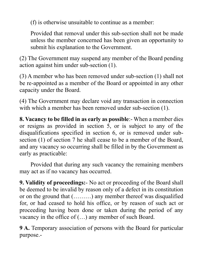(f) is otherwise unsuitable to continue as a member:

Provided that removal under this sub-section shall not be made unless the member concerned has been given an opportunity to submit his explanation to the Government.

(2) The Government may suspend any member of the Board pending action against him under sub-section (1).

(3) A member who has been removed under sub-section (1) shall not be re-appointed as a member of the Board or appointed in any other capacity under the Board.

(4) The Government may declare void any transaction in connection with which a member has been removed under sub-section (1).

**8. Vacancy to be filled in as early as possible**:- When a member dies or resigns as provided in section 5, or is subject to any of the disqualifications specified in section 6, or is removed under subsection (1) of section 7 he shall cease to be a member of the Board, and any vacancy so occurring shall be filled in by the Government as early as practicable:

Provided that during any such vacancy the remaining members may act as if no vacancy has occurred.

**9. Validity of proceedings:**- No act or proceeding of the Board shall be deemed to be invalid by reason only of a defect in its constitution or on the ground that (………) any member thereof was disqualified for, or had ceased to hold his office, or by reason of such act or proceeding having been done or taken during the period of any vacancy in the office of (…) any member of such Board.

**9 A.** Temporary association of persons with the Board for particular purpose.-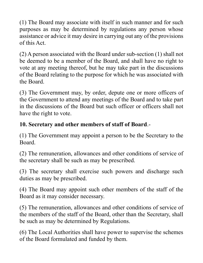(1) The Board may associate with itself in such manner and for such purposes as may be determined by regulations any person whose assistance or advice it may desire in carrying out any of the provisions of this Act.

(2) A person associated with the Board under sub-section (1) shall not be deemed to be a member of the Board, and shall have no right to vote at any meeting thereof, but he may take part in the discussions of the Board relating to the purpose for which he was associated with the Board.

(3) The Government may, by order, depute one or more officers of the Government to attend any meetings of the Board and to take part in the discussions of the Board but such officer or officers shall not have the right to vote.

# **10. Secretary and other members of staff of Board**.-

(1) The Government may appoint a person to be the Secretary to the Board.

(2) The remuneration, allowances and other conditions of service of the secretary shall be such as may be prescribed.

(3) The secretary shall exercise such powers and discharge such duties as may be prescribed.

(4) The Board may appoint such other members of the staff of the Board as it may consider necessary.

(5) The remuneration, allowances and other conditions of service of the members of the staff of the Board, other than the Secretary, shall be such as may be determined by Regulations.

(6) The Local Authorities shall have power to supervise the schemes of the Board formulated and funded by them.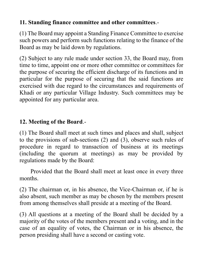#### **11. Standing finance committee and other committees**.-

(1) The Board may appoint a Standing Finance Committee to exercise such powers and perform such functions relating to the finance of the Board as may be laid down by regulations.

(2) Subject to any rule made under section 33, the Board may, from time to time, appoint one or more other committee or committees for the purpose of securing the efficient discharge of its functions and in particular for the purpose of securing that the said functions are exercised with due regard to the circumstances and requirements of Khadi or any particular Village Industry. Such committees may be appointed for any particular area.

# **12. Meeting of the Board**.-

(1) The Board shall meet at such times and places and shall, subject to the provisions of sub-sections (2) and (3), observe such rules of procedure in regard to transaction of business at its meetings (including the quorum at meetings) as may be provided by regulations made by the Board:

Provided that the Board shall meet at least once in every three months.

(2) The chairman or, in his absence, the Vice-Chairman or, if he is also absent, such member as may be chosen by the members present from among themselves shall preside at a meeting of the Board.

(3) All questions at a meeting of the Board shall be decided by a majority of the votes of the members present and a voting, and in the case of an equality of votes, the Chairman or in his absence, the person presiding shall have a second or casting vote.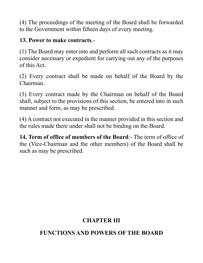(4) The proceedings of the meeting of the Board shall be forwarded to the Government within fifteen days of every meeting.

#### **13. Power to make contracts**.-

(1) The Board may enter into and perform all such contracts as it may consider necessary or expedient for carrying out any of the purposes of this Act.

(2) Every contract shall be made on behalf of the Board by the Chairman.

(3) Every contract made by the Chairman on behalf of the Board shall, subject to the provisions of this section, be entered into in such manner and form, as may be prescribed.

(4) A contract not executed in the manner provided in this section and the rules made there under shall not be binding on the Board.

**14. Term of office of members of the Board**:- The term of office of the (Vice-Chairman and the other members) of the Board shall be such as may be prescribed.

# **CHAPTER III**

# **FUNCTIONS AND POWERS OF THE BOARD**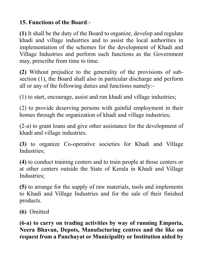#### **15. Functions of the Board**:-

**(1)** It shall be the duty of the Board to organize, develop and regulate khadi and village industries and to assist the local authorities in implementation of the schemes for the development of Khadi and Village Industries and perform such functions as the Government may, prescribe from time to time.

**(2)** Without prejudice to the generality of the provisions of subsection (1), the Board shall also in particular discharge and perform all or any of the following duties and functions namely:-

(1) to start, encourage, assist and run khadi and village industries;

(2) to provide deserving persons with gainful employment in their homes through the organization of khadi and village industries;

(2-a) to grant loans and give other assistance for the development of khadi and village industries.

**(3)** to organize Co-operative societies for Khadi and Village Industries;

**(4)** to conduct training centers and to train people at those centers or at other centers outside the State of Kerala in Khadi and Village Industries;

**(5)** to arrange for the supply of raw materials, tools and implements to Khadi and Village Industries and for the sale of their finished products.

**(6)** Omitted

**(6-a) to carry on trading activities by way of running Emporia, Neera Bhavan, Depots, Manufacturing centres and the like on request from a Panchayat or Municipality or Institution aided by**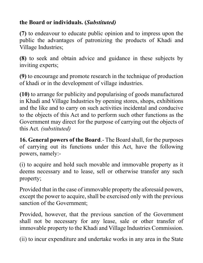# **the Board or individuals. (***Substituted)*

**(7)** to endeavour to educate public opinion and to impress upon the public the advantages of patronizing the products of Khadi and Village Industries;

**(8)** to seek and obtain advice and guidance in these subjects by inviting experts;

**(9)** to encourage and promote research in the technique of production of khadi or in the development of village industries.

**(10)** to arrange for publicity and popularising of goods manufactured in Khadi and Village Industries by opening stores, shops, exhibitions and the like and to carry on such activities incidental and conducive to the objects of this Act and to perform such other functions as the Government may direct for the purpose of carrying out the objects of this Act*. (substituted)*

**16. General powers of the Board**.- The Board shall, for the purposes of carrying out its functions under this Act, have the following powers, namely:-

(i) to acquire and hold such movable and immovable property as it deems necessary and to lease, sell or otherwise transfer any such property;

Provided that in the case of immovable property the aforesaid powers, except the power to acquire, shall be exercised only with the previous sanction of the Government;

Provided, however, that the previous sanction of the Government shall not be necessary for any lease, sale or other transfer of immovable property to the Khadi and Village Industries Commission.

(ii) to incur expenditure and undertake works in any area in the State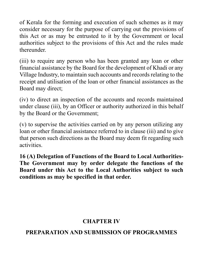of Kerala for the forming and execution of such schemes as it may consider necessary for the purpose of carrying out the provisions of this Act or as may be entrusted to it by the Government or local authorities subject to the provisions of this Act and the rules made thereunder.

(iii) to require any person who has been granted any loan or other financial assistance by the Board for the development of Khadi or any Village Industry, to maintain such accounts and records relating to the receipt and utilisation of the loan or other financial assistances as the Board may direct;

(iv) to direct an inspection of the accounts and records maintained under clause (iii), by an Officer or authority authorized in this behalf by the Board or the Government;

(v) to supervise the activities carried on by any person utilizing any loan or other financial assistance referred to in clause (iii) and to give that person such directions as the Board may deem fit regarding such activities.

**16 (A) Delegation of Functions of the Board to Local Authorities-The Government may by order delegate the functions of the Board under this Act to the Local Authorities subject to such conditions as may be specified in that order.**

# **CHAPTER IV**

# **PREPARATION AND SUBMISSION OF PROGRAMMES**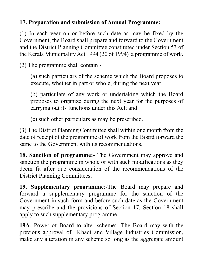## **17. Preparation and submission of Annual Programme:**-

(1) In each year on or before such date as may be fixed by the Government, the Board shall prepare and forward to the Government and the District Planning Committee constituted under Section 53 of the Kerala Municipality Act 1994 (20 of 1994) a programme of work.

(2) The programme shall contain -

(a) such particulars of the scheme which the Board proposes to execute, whether in part or whole, during the next year;

(b) particulars of any work or undertaking which the Board proposes to organize during the next year for the purposes of carrying out its functions under this Act; and

(c) such other particulars as may be prescribed.

(3) The District Planning Committee shall within one month from the date of receipt of the programme of work from the Board forward the same to the Government with its recommendations.

**18. Sanction of programme:-** The Government may approve and sanction the programme in whole or with such modifications as they deem fit after due consideration of the recommendations of the District Planning Committees.

**19. Supplementary programme**:-The Board may prepare and forward a supplementary programme for the sanction of the Government in such form and before such date as the Government may prescribe and the provisions of Section 17, Section 18 shall apply to such supplementary programme.

**19A**. Power of Board to alter scheme:- The Board may with the previous approval of Khadi and Village Industries Commission, make any alteration in any scheme so long as the aggregate amount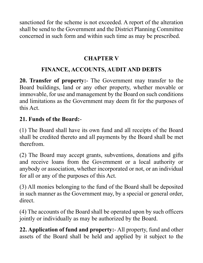sanctioned for the scheme is not exceeded. A report of the alteration shall be send to the Government and the District Planning Committee concerned in such form and within such time as may be prescribed.

#### **CHAPTER V**

# **FINANCE, ACCOUNTS, AUDIT AND DEBTS**

**20. Transfer of property:**- The Government may transfer to the Board buildings, land or any other property, whether movable or immovable, for use and management by the Board on such conditions and limitations as the Government may deem fit for the purposes of this Act.

#### **21. Funds of the Board:**-

(1) The Board shall have its own fund and all receipts of the Board shall be credited thereto and all payments by the Board shall be met therefrom.

(2) The Board may accept grants, subventions, donations and gifts and receive loans from the Government or a local authority or anybody or association, whether incorporated or not, or an individual for all or any of the purposes of this Act.

(3) All monies belonging to the fund of the Board shall be deposited in such manner as the Government may, by a special or general order, direct.

(4) The accounts of the Board shall be operated upon by such officers jointly or individually as may be authorized by the Board.

**22. Application of fund and property:**- All property, fund and other assets of the Board shall be held and applied by it subject to the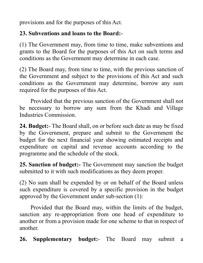provisions and for the purposes of this Act.

#### **23. Subventions and loans to the Board:**-

(1) The Government may, from time to time, make subventions and grants to the Board for the purposes of this Act on such terms and conditions as the Government may determine in each case.

(2) The Board may, from time to time, with the previous sanction of the Government and subject to the provisions of this Act and such conditions as the Government may determine, borrow any sum required for the purposes of this Act.

Provided that the previous sanction of the Government shall not be necessary to borrow any sum from the Khadi and Village Industries Commission.

**24. Budget:**- The Board shall, on or before such date as may be fixed by the Government, prepare and submit to the Government the budget for the next financial year showing estimated receipts and expenditure on capital and revenue accounts according to the programme and the schedule of the stock.

**25. Sanction of budget:-** The Government may sanction the budget submitted to it with such modifications as they deem proper.

(2) No sum shall be expended by or on behalf of the Board unless such expenditure is covered by a specific provision in the budget approved by the Government under sub-section (1):

Provided that the Board may, within the limits of the budget, sanction any re-appropriation from one head of expenditure to another or from a provision made for one scheme to that in respect of another.

**26. Supplementary budget:**- The Board may submit a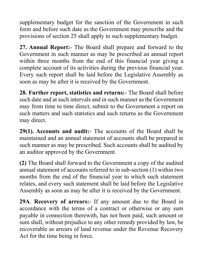supplementary budget for the sanction of the Government in such form and before such date as the Government may prescribe and the provisions of section 25 shall apply to such supplementary budget.

**27. Annual Report:**- The Board shall prepare and forward to the Government in such manner as may be prescribed an annual report within three months from the end of this financial year giving a complete account of its activities during the previous financial year. Every such report shall be laid before the Legislative Assembly as soon as may be after it is received by the Government.

**28. Further report, statistics and returns:**- The Board shall before such date and at such intervals and in such manner as the Government may from time to time direct, submit to the Government a report on such matters and such statistics and such returns as the Government may direct.

**29(1). Accounts and audit:**- The accounts of the Board shall be maintained and an annual statement of accounts shall be prepared in such manner as may be prescribed. Such accounts shall be audited by an auditor approved by the Government.

**(2)** The Board shall forward to the Government a copy of the audited annual statement of accounts referred to in sub-section (1) within two months from the end of the financial year to which such statement relates, and every such statement shall be laid before the Legislative Assembly as soon as may be after it is received by the Government.

**29A**. **Recovery of arrears:**- If any amount due to the Board in accordance with the terms of a contract or otherwise or any sum payable in connection therewith, has not been paid, such amount or sum shall, without prejudice to any other remedy provided by law, be recoverable as arrears of land revenue under the Revenue Recovery Act for the time being in force.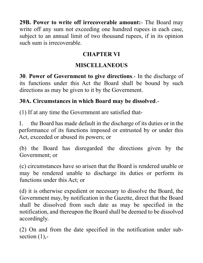**29B. Power to write off irrecoverable amount:**- The Board may write off any sum not exceeding one hundred rupees in each case, subject to an annual limit of two thousand rupees, if in its opinion such sum is irrecoverable.

# **CHAPTER VI**

# **MISCELLANEOUS**

**30**. **Power of Government to give directions**.- In the discharge of its functions under this Act the Board shall be bound by such directions as may be given to it by the Government.

# **30A. Circumstances in which Board may be dissolved**.-

(1) If at any time the Government are satisfied that-

1. the Board has made default in the discharge of its duties or in the performance of its functions imposed or entrusted by or under this Act, exceeded or abused its powers; or

(b) the Board has disregarded the directions given by the Government; or

(c) circumstances have so arisen that the Board is rendered unable or may be rendered unable to discharge its duties or perform its functions under this Act; or

(d) it is otherwise expedient or necessary to dissolve the Board, the Government may, by notification in the Gazette, direct that the Board shall be dissolved from such date as may be specified in the notification, and thereupon the Board shall be deemed to be dissolved accordingly.

(2) On and from the date specified in the notification under subsection  $(1)$ ,-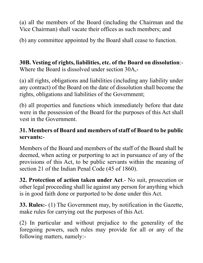(a) all the members of the Board (including the Chairman and the Vice Chairman) shall vacate their offices as such members; and

(b) any committee appointed by the Board shall cease to function.

**30B. Vesting of rights, liabilities, etc. of the Board on dissolution**:- Where the Board is dissolved under section 30A,-

(a) all rights, obligations and liabilities (including any liability under any contract) of the Board on the date of dissolution shall become the rights, obligations and liabilities of the Government;

(b) all properties and functions which immediately before that date were in the possession of the Board for the purposes of this Act shall vest in the Government.

#### **31. Members of Board and members of staff of Board to be public servants:**-

Members of the Board and members of the staff of the Board shall be deemed, when acting or purporting to act in pursuance of any of the provisions of this Act, to be public servants within the meaning of section 21 of the Indian Penal Code (45 of 1860).

**32. Protection of action taken under Act**.- No suit, prosecution or other legal proceeding shall lie against any person for anything which is in good faith done or purported to be done under this Act.

**33. Rules:**- (1) The Government may, by notification in the Gazette, make rules for carrying out the purposes of this Act.

(2) In particular and without prejudice to the generality of the foregoing powers, such rules may provide for all or any of the following matters, namely:-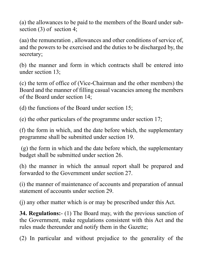(a) the allowances to be paid to the members of the Board under subsection (3) of section 4;

(aa) the remuneration , allowances and other conditions of service of, and the powers to be exercised and the duties to be discharged by, the secretary;

(b) the manner and form in which contracts shall be entered into under section 13;

(c) the term of office of (Vice-Chairman and the other members) the Board and the manner of filling casual vacancies among the members of the Board under section 14;

(d) the functions of the Board under section 15;

(e) the other particulars of the programme under section 17;

(f) the form in which, and the date before which, the supplementary programme shall be submitted under section 19.

(g) the form in which and the date before which, the supplementary budget shall be submitted under section 26.

(h) the manner in which the annual report shall be prepared and forwarded to the Government under section 27.

(i) the manner of maintenance of accounts and preparation of annual statement of accounts under section 29.

(j) any other matter which is or may be prescribed under this Act.

**34. Regulations:**- (1) The Board may, with the previous sanction of the Government, make regulations consistent with this Act and the rules made thereunder and notify them in the Gazette;

(2) In particular and without prejudice to the generality of the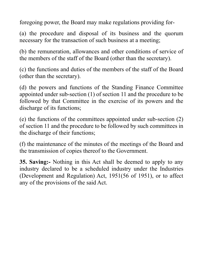foregoing power, the Board may make regulations providing for-

(a) the procedure and disposal of its business and the quorum necessary for the transaction of such business at a meeting;

(b) the remuneration, allowances and other conditions of service of the members of the staff of the Board (other than the secretary).

(c) the functions and duties of the members of the staff of the Board (other than the secretary).

(d) the powers and functions of the Standing Finance Committee appointed under sub-section (1) of section 11 and the procedure to be followed by that Committee in the exercise of its powers and the discharge of its functions;

(e) the functions of the committees appointed under sub-section (2) of section 11 and the procedure to be followed by such committees in the discharge of their functions;

(f) the maintenance of the minutes of the meetings of the Board and the transmission of copies thereof to the Government.

**35. Saving:-** Nothing in this Act shall be deemed to apply to any industry declared to be a scheduled industry under the Industries (Development and Regulation) Act, 1951(56 of 1951), or to affect any of the provisions of the said Act.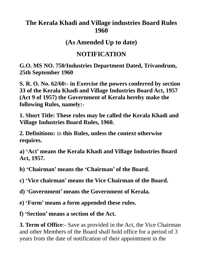# **The Kerala Khadi and Village industries Board Rules 1960**

**(As Amended Up to date)**

# **NOTIFICATION**

**G.O. MS NO. 750/Industries Department Dated, Trivandrum, 25th September 1960**

**S. R. O. No. 62/60:- in Exercise the powers conferred by section 33 of the Kerala Khadi and Village Industries Board Act, 1957 (Act 9 of 1957) the Government of Kerala hereby make the following Rules, namely:-**

**1. Short Title: These rules may be called the Kerala Khadi and Village Industries Board Rules, 1960.**

**2. Definitions:** in **this Rules, unless the context otherwise requires.**

**a) 'Act' means the Kerala Khadi and Village Industries Board Act, 1957.**

**b) 'Chairman' means the 'Chairman' of the Board.**

**c) 'Vice chairman' means the Vice Chairman of the Board.**

**d) 'Government' means the Government of Kerala.**

**e) 'Form' means a form appended these rules.**

**f) 'Section' means a section of the Act.**

**3. Term of Office**:- Save as provided in the Act, the Vice Chairman and other Members of the Board shall hold office for a period of 3 years from the date of notification of their appointment in the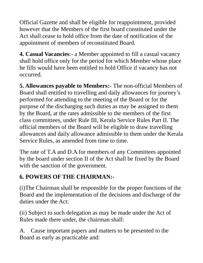Official Gazette and shall be eligible for reappointment, provided however that the Members of the first board constituted under the Act shall cease to hold office from the date of notification of the appointment of members of reconstituted Board.

**4. Casual Vacancies**:- a Member appointed to fill a casual vacancy shall hold office only for the period for which Member whose place he fills would have been entitled to hold Office if vacancy has not occurred.

**5. Allowances payable to Members:-** The non-official Members of Board shall entitled to travelling and daily allowances for journey's performed for attending to the meeting of the Board or for the purpose of the discharging such duties as may be assigned to them by the Board, at the rates admissible to the members of the first class committees, under Rule III, Kerala Service Rules Part II. The official members of the Board will be eligible to draw travelling allowances and daily allowance admissible to them under the Kerala Service Rules, as amended from time to time.

The rate of T.A and D.A for members of any Committees appointed by the board under section II of the Act shall be fixed by the Board with the sanction of the government.

# **6. POWERS OF THE CHAIRMAN:-**

(i)The Chairman shall be responsible for the proper functions of the Board and the implementation of the decisions and discharge of the duties under the Act:

(ii) Subject to such delegation as may be made under the Act of Rules made there under, the chairman shall:

A. Cause important papers and matters to be presented to the Board as early as practicable and: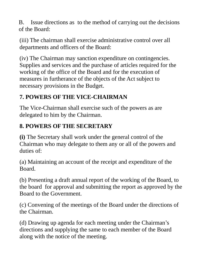B. Issue directions as to the method of carrying out the decisions of the Board:

(iii) The chairman shall exercise administrative control over all departments and officers of the Board:

(iv) The Chairman may sanction expenditure on contingencies. Supplies and services and the purchase of articles required for the working of the office of the Board and for the execution of measures in furtherance of the objects of the Act subject to necessary provisions in the Budget.

# **7. POWERS OF THE VICE-CHAIRMAN**

The Vice-Chairman shall exercise such of the powers as are delegated to him by the Chairman.

# **8. POWERS OF THE SECRETARY**

**(i)** The Secretary shall work under the general control of the Chairman who may delegate to them any or all of the powers and duties of:

(a) Maintaining an account of the receipt and expenditure of the Board.

(b) Presenting a draft annual report of the working of the Board, to the board for approval and submitting the report as approved by the Board to the Government.

(c) Convening of the meetings of the Board under the directions of the Chairman.

(d) Drawing up agenda for each meeting under the Chairman's directions and supplying the same to each member of the Board along with the notice of the meeting.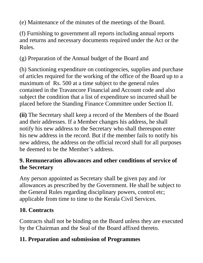(e) Maintenance of the minutes of the meetings of the Board.

(f) Furnishing to government all reports including annual reports and returns and necessary documents required under the Act or the Rules.

(g) Preparation of the Annual budget of the Board and

(h) Sanctioning expenditure on contingencies, supplies and purchase of articles required for the working of the office of the Board up to a maximum of Rs. 500 at a time subject to the general rules contained in the Travancore Financial and Account code and also subject the condition that a list of expenditure so incurred shall be placed before the Standing Finance Committee under Section II.

**(ii)** The Secretary shall keep a record of the Members of the Board and their addresses. If a Member changes his address, he shall notify his new address to the Secretary who shall thereupon enter his new address in the record. But if the member fails to notify his new address, the address on the official record shall for all purposes be deemed to be the Member's address.

# **9. Remuneration allowances and other conditions of service of the Secretary**

Any person appointed as Secretary shall be given pay and /or allowances as prescribed by the Government. He shall be subject to the General Rules regarding disciplinary powers, control etc; applicable from time to time to the Kerala Civil Services.

# **10. Contracts**

Contracts shall not be binding on the Board unless they are executed by the Chairman and the Seal of the Board affixed thereto.

# **11. Preparation and submission of Programmes**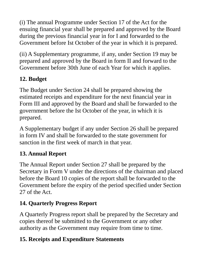(i) The annual Programme under Section 17 of the Act for the ensuing financial year shall be prepared and approved by the Board during the previous financial year in for I and forwarded to the Government before Ist October of the year in which it is prepared.

(ii) A Supplementary programme, if any, under Section 19 may be prepared and approved by the Board in form II and forward to the Government before 30th June of each Year for which it applies.

# **12. Budget**

The Budget under Section 24 shall be prepared showing the estimated receipts and expenditure for the next financial year in Form III and approved by the Board and shall be forwarded to the government before the Ist October of the year, in which it is prepared.

A Supplementary budget if any under Section 26 shall be prepared in form IV and shall be forwarded to the state government for sanction in the first week of march in that year.

# **13. Annual Report**

The Annual Report under Section 27 shall be prepared by the Secretary in Form V under the directions of the chairman and placed before the Board 10 copies of the report shall be forwarded to the Government before the expiry of the period specified under Section 27 of the Act.

# **14. Quarterly Progress Report**

A Quarterly Progress report shall be prepared by the Secretary and copies thereof be submitted to the Government or any other authority as the Government may require from time to time.

# **15. Receipts and Expenditure Statements**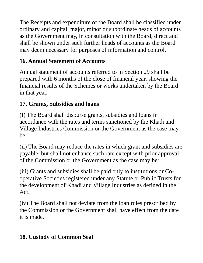The Receipts and expenditure of the Board shall be classified under ordinary and capital, major, minor or subordinate heads of accounts as the Government may, in consultation with the Board, direct and shall be shown under such further heads of accounts as the Board may deem necessary for purposes of information and control.

# **16. Annual Statement of Accounts**

Annual statement of accounts referred to in Section 29 shall be prepared with 6 months of the close of financial year, showing the financial results of the Schemes or works undertaken by the Board in that year.

# **17. Grants, Subsidies and loans**

(I) The Board shall disburse grants, subsidies and loans in accordance with the rates and terms sanctioned by the Khadi and Village Industries Commission or the Government as the case may be:

(ii) The Board may reduce the rates in which grant and subsidies are payable, but shall not enhance such rate except with prior approval of the Commission or the Government as the case may be:

(iii) Grants and subsidies shall be paid only to institutions or Cooperative Societies registered under any Statute or Public Trusts for the development of Khadi and Village Industries as defined in the Act.

(iv) The Board shall not deviate from the loan rules prescribed by the Commission or the Government shall have effect from the date it is made.

# **18. Custody of Common Seal**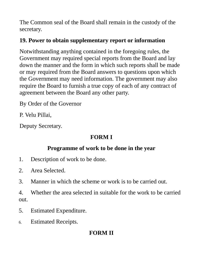The Common seal of the Board shall remain in the custody of the secretary.

# **19. Power to obtain supplementary report or information**

Notwithstanding anything contained in the foregoing rules, the Government may required special reports from the Board and lay down the manner and the form in which such reports shall be made or may required from the Board answers to questions upon which the Government may need information. The government may also require the Board to furnish a true copy of each of any contract of agreement between the Board any other party.

By Order of the Governor

P. Velu Pillai,

Deputy Secretary.

# **FORM I**

# **Programme of work to be done in the year**

- 1. Description of work to be done.
- 2. Area Selected.
- 3. Manner in which the scheme or work is to be carried out.

4. Whether the area selected in suitable for the work to be carried out.

- 5. Estimated Expenditure.
- 6. Estimated Receipts.

# **FORM II**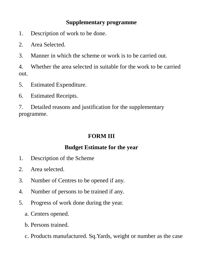#### **Supplementary programme**

- 1. Description of work to be done.
- 2. Area Selected.
- 3. Manner in which the scheme or work is to be carried out.

4. Whether the area selected in suitable for the work to be carried out.

- 5. Estimated Expenditure.
- 6. Estimated Receipts.

7. Detailed reasons and justification for the supplementary programme.

# **FORM III**

# **Budget Estimate for the year**

- 1. Description of the Scheme
- 2. Area selected.
- 3. Number of Centres to be opened if any.
- 4. Number of persons to be trained if any.
- 5. Progress of work done during the year.
	- a. Centers opened.
	- b. Persons trained.
	- c. Products manufactured. Sq.Yards, weight or number as the case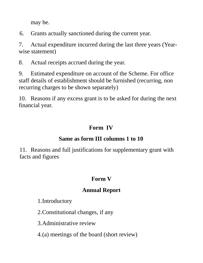may be.

6. Grants actually sanctioned during the current year.

7. Actual expenditure incurred during the last three years (Yearwise statement)

8. Actual receipts accrued during the year.

9. Estimated expenditure on account of the Scheme. For office staff details of establishment should be furnished (recurring, non recurring charges to be shown separately)

10. Reasons if any excess grant is to be asked for during the next financial year.

# **Form IV**

# **Same as form III columns 1 to 10**

11. Reasons and full justifications for supplementary grant with facts and figures

# **Form V**

# **Annual Report**

# 1.Introductory

2.Constitutional changes, if any

3.Administrative review

4.(a) meetings of the board (short review)